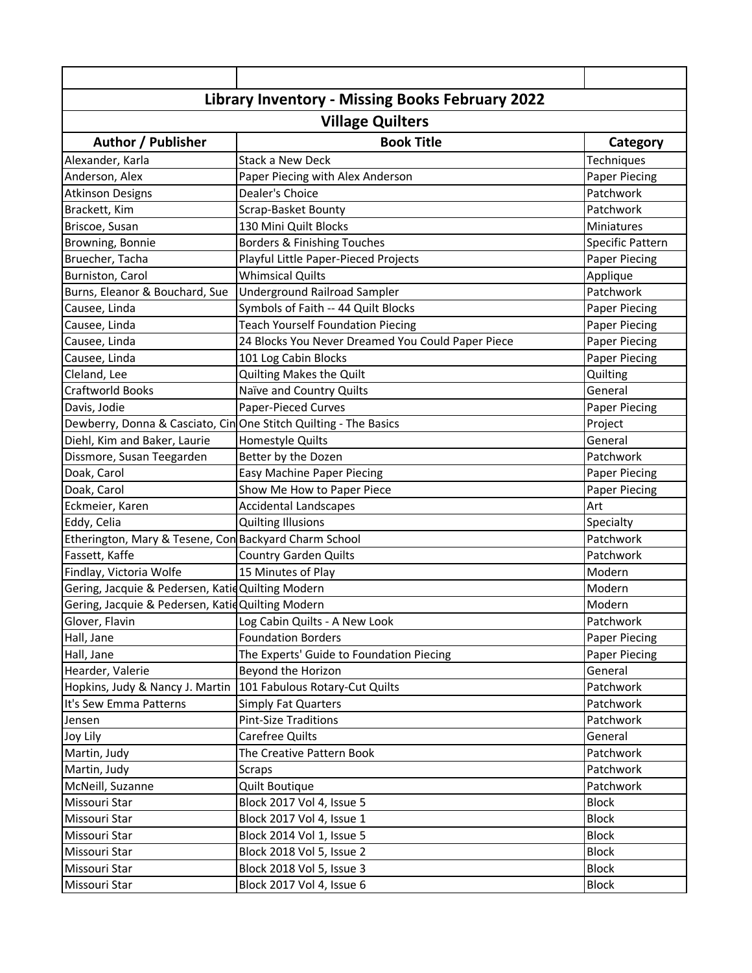| Library Inventory - Missing Books February 2022                  |                                                   |                      |  |
|------------------------------------------------------------------|---------------------------------------------------|----------------------|--|
| <b>Village Quilters</b>                                          |                                                   |                      |  |
| <b>Author / Publisher</b>                                        | <b>Book Title</b>                                 | Category             |  |
| Alexander, Karla                                                 | Stack a New Deck                                  | Techniques           |  |
| Anderson, Alex                                                   | Paper Piecing with Alex Anderson                  | Paper Piecing        |  |
| <b>Atkinson Designs</b>                                          | Dealer's Choice                                   | Patchwork            |  |
| Brackett, Kim                                                    | Scrap-Basket Bounty                               | Patchwork            |  |
| Briscoe, Susan                                                   | 130 Mini Quilt Blocks                             | Miniatures           |  |
| Browning, Bonnie                                                 | Borders & Finishing Touches                       | Specific Pattern     |  |
| Bruecher, Tacha                                                  | Playful Little Paper-Pieced Projects              | Paper Piecing        |  |
| Burniston, Carol                                                 | <b>Whimsical Quilts</b>                           | Applique             |  |
| Burns, Eleanor & Bouchard, Sue                                   | Underground Railroad Sampler                      | Patchwork            |  |
| Causee, Linda                                                    | Symbols of Faith -- 44 Quilt Blocks               | Paper Piecing        |  |
| Causee, Linda                                                    | <b>Teach Yourself Foundation Piecing</b>          | <b>Paper Piecing</b> |  |
| Causee, Linda                                                    | 24 Blocks You Never Dreamed You Could Paper Piece | <b>Paper Piecing</b> |  |
| Causee, Linda                                                    | 101 Log Cabin Blocks                              | <b>Paper Piecing</b> |  |
| Cleland, Lee                                                     | Quilting Makes the Quilt                          | Quilting             |  |
| <b>Craftworld Books</b>                                          | Naïve and Country Quilts                          | General              |  |
| Davis, Jodie                                                     | <b>Paper-Pieced Curves</b>                        | <b>Paper Piecing</b> |  |
| Dewberry, Donna & Casciato, Cin One Stitch Quilting - The Basics |                                                   | Project              |  |
| Diehl, Kim and Baker, Laurie                                     | Homestyle Quilts                                  | General              |  |
| Dissmore, Susan Teegarden                                        | Better by the Dozen                               | Patchwork            |  |
| Doak, Carol                                                      | Easy Machine Paper Piecing                        | Paper Piecing        |  |
| Doak, Carol                                                      | Show Me How to Paper Piece                        | Paper Piecing        |  |
| Eckmeier, Karen                                                  | <b>Accidental Landscapes</b>                      | Art                  |  |
| Eddy, Celia                                                      | <b>Quilting Illusions</b>                         | Specialty            |  |
| Etherington, Mary & Tesene, Con Backyard Charm School            |                                                   | Patchwork            |  |
| Fassett, Kaffe                                                   | <b>Country Garden Quilts</b>                      | Patchwork            |  |
| Findlay, Victoria Wolfe                                          | 15 Minutes of Play                                | Modern               |  |
| Gering, Jacquie & Pedersen, Katid Quilting Modern                |                                                   | Modern               |  |
| Gering, Jacquie & Pedersen, Katid Quilting Modern                |                                                   | Modern               |  |
| Glover, Flavin                                                   | Log Cabin Quilts - A New Look                     | Patchwork            |  |
| Hall, Jane                                                       | <b>Foundation Borders</b>                         | <b>Paper Piecing</b> |  |
| Hall, Jane                                                       | The Experts' Guide to Foundation Piecing          | <b>Paper Piecing</b> |  |
| Hearder, Valerie                                                 | Beyond the Horizon                                | General              |  |
| Hopkins, Judy & Nancy J. Martin                                  | 101 Fabulous Rotary-Cut Quilts                    | Patchwork            |  |
| It's Sew Emma Patterns                                           | <b>Simply Fat Quarters</b>                        | Patchwork            |  |
| Jensen                                                           | <b>Pint-Size Traditions</b>                       | Patchwork            |  |
| Joy Lily                                                         | <b>Carefree Quilts</b>                            | General              |  |
| Martin, Judy                                                     | The Creative Pattern Book                         | Patchwork            |  |
| Martin, Judy                                                     | <b>Scraps</b>                                     | Patchwork            |  |
| McNeill, Suzanne                                                 | Quilt Boutique                                    | Patchwork            |  |
| Missouri Star                                                    | Block 2017 Vol 4, Issue 5                         | <b>Block</b>         |  |
| Missouri Star                                                    | Block 2017 Vol 4, Issue 1                         | <b>Block</b>         |  |
| Missouri Star                                                    | Block 2014 Vol 1, Issue 5                         | <b>Block</b>         |  |
| Missouri Star                                                    | Block 2018 Vol 5, Issue 2                         | <b>Block</b>         |  |
| Missouri Star                                                    | Block 2018 Vol 5, Issue 3                         | <b>Block</b>         |  |
| Missouri Star                                                    | Block 2017 Vol 4, Issue 6                         | <b>Block</b>         |  |